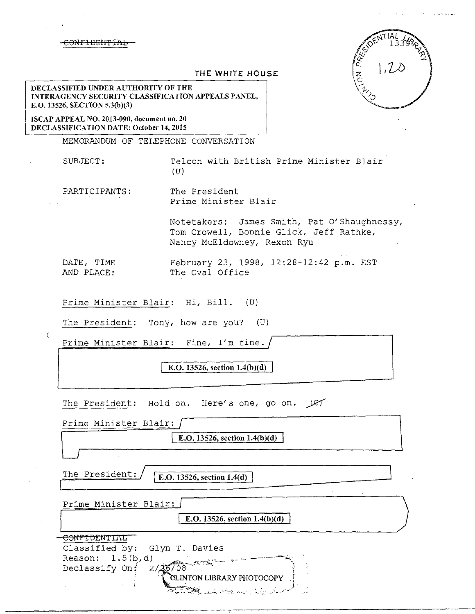## NEI DEN 4

| 13394221 |  |
|----------|--|

## THE WHITE HOUSE

DECLASSIFIED UNDER AUTHORITY OF THE INTERAGENCY SECURITY CLASSIFICATION APPEALS PANEL, E.O. 13526, SECTION 5.3(b)(3)

ISCAP APPEAL NO. 2013-090, document no. 20 DECLASSIFICATION DATE: October 14, 2015

 $\left($ 

MEMORANDUM OF TELEPHONE CONVERSATION

SUBJECT: Telcon with British Prime Minister Blair  $(U)$ 

PARTICIPANTS: The President Prime Minister Blair

> Notetakers: James Smith, Pat O'Shaughnessy, Tom Crowell, Bonnie Glick, Jeff Rathke, Nancy McEldowney, Rexon Ryu

DATE, TIME February 23, 1998, 12:28-12:42 p.m. EST AND PLACE: The Oval Office

Prime Minister Blair: Hi, Bill. (U)

The President: Tony, how are you? (U)

Prime Minister Blair: Fine, I'm fine.

E.O. 13526, section 1.4(b)(d)

The President: Hold on. Here's one, go on.  $\mathcal{L}$ 

| Prime Minister Blair:                                                                                         |
|---------------------------------------------------------------------------------------------------------------|
| E.O. 13526, section $1.4(b)(d)$                                                                               |
|                                                                                                               |
| The President:<br>E.O. 13526, section 1.4(d)                                                                  |
| Prime Minister Blair:                                                                                         |
| E.O. 13526, section $1.4(b)(d)$                                                                               |
| <del>CONFIDENTIAL</del>                                                                                       |
| Classified by: Glyn T. Davies                                                                                 |
| Reason: $1.5(b,d)$                                                                                            |
| 2/36/08<br>Declassify On:                                                                                     |
| CLINTON LIBRARY PHOTOCOPY                                                                                     |
| State of the state of the state of the state of the state of the state of the state of the state of the state |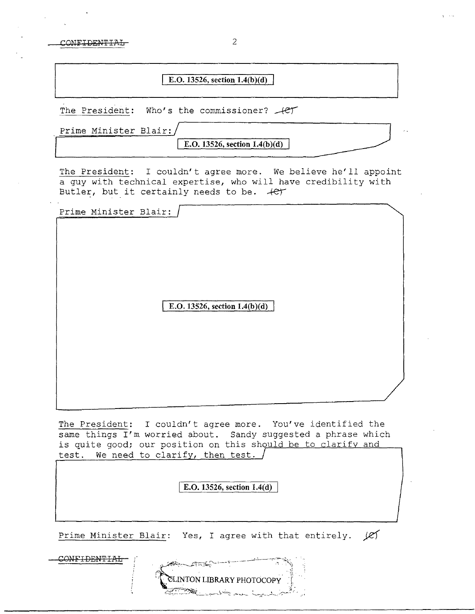CONFIDENTIAL 2

## **E.O. 13526, section l.4(b)(d)**

The President: Who's the commissioner?  $+e^+$ 

| Prime Minister Blair:/ |            |
|------------------------|------------|
|                        | __________ |

**E.O. 13526, section 1.4(b)(d)** 

The President: I couldn't agree more. We believe he'll appoint a guy with technical expertise, who will have credibility with Butler, but it certainly needs to be.  $+e^+$ 

| Prime Minister Blair:                                                                                                                                                                        |
|----------------------------------------------------------------------------------------------------------------------------------------------------------------------------------------------|
| E.O. 13526, section $1.4(b)(d)$                                                                                                                                                              |
| The President: I couldn't agree more. You've identified the<br>same things I'm worried about. Sandy suggested a phrase which<br>is quite good; our position on this should be to clarify and |
| We need to clarify, then test.<br>test.                                                                                                                                                      |
| E.O. 13526, section 1.4(d)                                                                                                                                                                   |
| Prime Minister Blair: Yes, I agree with that entirely.<br><u>lej</u>                                                                                                                         |
| CONFIDENTI<br><b>Allen States</b>                                                                                                                                                            |

**ILINTON LIBRARY PHOTOCOP**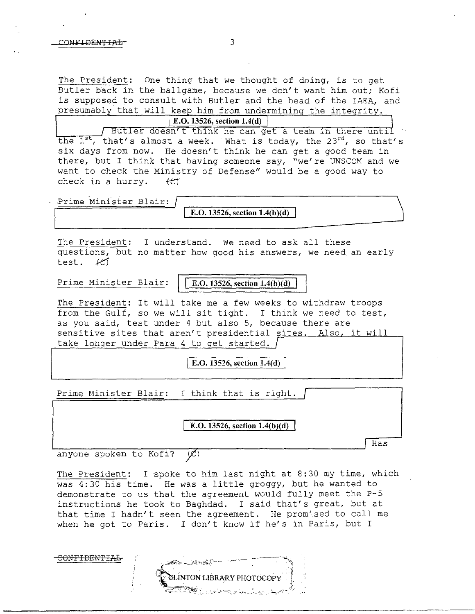The President: One thing that we thought of doing, is to get Butler back in the ballgame, because we don't want him out; Kofi is supposed to consult with Butler and the head of the IAEA, and presumably that will keep him from undermining the integrity.

**E.O. 13526, section 1.4(d)** / Butler doesn't think he can get a team in there until the  $1^{st}$ , that's almost a week. What is today, the 23<sup>rd</sup>, so that's six days from now. He doesn't think he can get a good team in there, but I think that having someone say, "we're UNSCOM and we want to check the Ministry of Defense" would be a good way to check in a hurry.  $\text{tet}$ 

Prime Minister Blair:

**E.O. 13526, section 1.4(b)(d)** 

The President: I understand. We need to ask all these questions, but no matter how good his answers, we need an early test. *kc)* 

Prime Minister Blair: **E.O. 13526, section 1.4(b)(d)** 

The President: It will take me a few weeks to withdraw troops from the Gulf, so we will sit tight. I think we need to test, as you said, test under 4 but also 5, because there are sensitive sites that aren't presidential sites. Also, it will take longer under Para 4 to get started.

I **E.O. 13526, section 1.4(d)** 

Prime Minister Blair: I think that is right.

E.O. 13526, section 1.4(b)(d)

Has

anyone spoken to Kofi?  $\langle \mathscr{L} \rangle$ 

The President: I spoke to him last night at 8:30 my time, which was 4:30 his time. He was a little groggy, but he wanted to demonstrate to us that the agreement would fully meet the P-5 instructions he took to Baghdad. I said that's great, but at that time I hadn't seen the agreement. He promised to call me when he got to Paris. I don't know if he's in Paris, but I

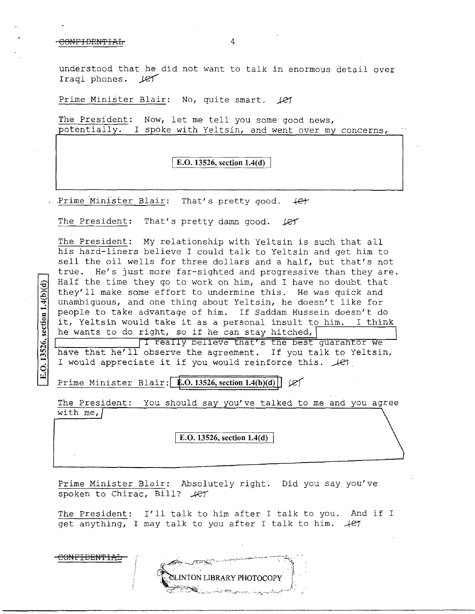## CONFIDENTIAL 4

CONFIDEN'f'IAL

E.O.  $13526$ , section  $1.4(b)(d)$ 

understood that he did not want to talk in enormous detail over Iraqi phones. (et

Prime Minister Blair: No, quite smart. 1e7

The President: Now, let me tell you some good news, potentially. I spoke with Yeltsin, and went over my concerns,

**E.O. 13526, section 1.4(d)** 

Prime Minister Blair: That's pretty good.  $\leftarrow$ 

The President: That's pretty damn good.  $\text{LFT}$ 

The President: My relationship with Yeltsin is such that all his hard-liners believe I could talk to Yeltsin and get him to sell the oil wells for three dollars and a half, but that's not true. He's just more far-sighted and progressive than they are. Half the time they go to work on him, and I have no doubt that they'll make some effort to undermine this. He was quick and unambiguous, and one thing about Yeltsin, he doesn't like for people to take advantage of him. If Saddam Hussein doesn't do it, Yeltsin would take it as a personal insult to him. I think he wants to do right, so if he can stay hitched,

T really believe that's the best guarantor we have that he'll observe the agreement. If you talk to Yeltsin, I would appreciate it if you would reinforce this.  $\mathcal{L}$ 

**Prime Minister Blair: 1.0.13526, section 1.4(b)(d)**  $|C|$ 

The President: You should say you've talked to me and you agree with me,  $|$ 

I **E.O. 13526, section 1.4(d)** 

Prime Minister Blair: Absolutely right. Did you say you've spoken to Chirac, Bill? *.4et* 

The President: I'll talk to him after I talk to you. And if I get anything, I may talk to you after I talk to him.  $+e^+$ 

**SLINTON LIBRARY PHOTOCOPY**